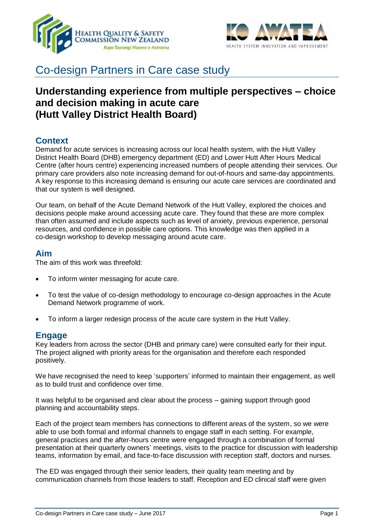



# Co-design Partners in Care case study

# **Understanding experience from multiple perspectives – choice and decision making in acute care (Hutt Valley District Health Board)**

# **Context**

Demand for acute services is increasing across our local health system, with the Hutt Valley District Health Board (DHB) emergency department (ED) and Lower Hutt After Hours Medical Centre (after hours centre) experiencing increased numbers of people attending their services. Our primary care providers also note increasing demand for out-of-hours and same-day appointments. A key response to this increasing demand is ensuring our acute care services are coordinated and that our system is well designed.

Our team, on behalf of the Acute Demand Network of the Hutt Valley, explored the choices and decisions people make around accessing acute care. They found that these are more complex than often assumed and include aspects such as level of anxiety, previous experience, personal resources, and confidence in possible care options. This knowledge was then applied in a co-design workshop to develop messaging around acute care.

## **Aim**

The aim of this work was threefold:

- To inform winter messaging for acute care.
- To test the value of co-design methodology to encourage co-design approaches in the Acute Demand Network programme of work.
- To inform a larger redesign process of the acute care system in the Hutt Valley.

#### **Engage**

Key leaders from across the sector (DHB and primary care) were consulted early for their input. The project aligned with priority areas for the organisation and therefore each responded positively.

We have recognised the need to keep 'supporters' informed to maintain their engagement, as well as to build trust and confidence over time.

It was helpful to be organised and clear about the process – gaining support through good planning and accountability steps.

Each of the project team members has connections to different areas of the system, so we were able to use both formal and informal channels to engage staff in each setting. For example, general practices and the after-hours centre were engaged through a combination of formal presentation at their quarterly owners' meetings, visits to the practice for discussion with leadership teams, information by email, and face-to-face discussion with reception staff, doctors and nurses.

The ED was engaged through their senior leaders, their quality team meeting and by communication channels from those leaders to staff. Reception and ED clinical staff were given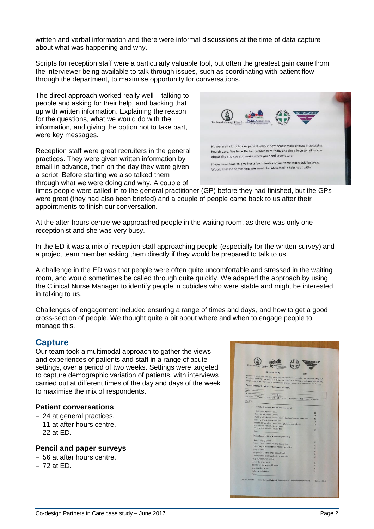written and verbal information and there were informal discussions at the time of data capture about what was happening and why.

Scripts for reception staff were a particularly valuable tool, but often the greatest gain came from the interviewer being available to talk through issues, such as coordinating with patient flow through the department, to maximise opportunity for conversations.

The direct approach worked really well – talking to people and asking for their help, and backing that up with written information. Explaining the reason for the questions, what we would do with the information, and giving the option not to take part, were key messages.

Reception staff were great recruiters in the general practices. They were given written information by email in advance, then on the day they were given a script. Before starting we also talked them through what we were doing and why. A couple of



times people were called in to the general practitioner (GP) before they had finished, but the GPs were great (they had also been briefed) and a couple of people came back to us after their appointments to finish our conversation.

At the after-hours centre we approached people in the waiting room, as there was only one receptionist and she was very busy.

In the ED it was a mix of reception staff approaching people (especially for the written survey) and a project team member asking them directly if they would be prepared to talk to us.

A challenge in the ED was that people were often quite uncomfortable and stressed in the waiting room, and would sometimes be called through quite quickly. We adapted the approach by using the Clinical Nurse Manager to identify people in cubicles who were stable and might be interested in talking to us.

Challenges of engagement included ensuring a range of times and days, and how to get a good cross-section of people. We thought quite a bit about where and when to engage people to manage this.

#### **Capture**

Our team took a multimodal approach to gather the views and experiences of patients and staff in a range of acute settings, over a period of two weeks. Settings were targeted to capture demographic variation of patients, with interviews carried out at different times of the day and days of the week to maximise the mix of respondents.

#### **Patient conversations**

- 24 at general practices.
- 11 at after hours centre.
- $-22$  at FD.

#### **Pencil and paper surveys**

- 56 at after hours centre.
- $-72$  at FD.

| Te Awakairangi Health<br><b>KALCING</b>                                                                                                                                                                                                                                                                                                                              | <b>HUTT VALLEY ONB</b> |
|----------------------------------------------------------------------------------------------------------------------------------------------------------------------------------------------------------------------------------------------------------------------------------------------------------------------------------------------------------------------|------------------------|
| <b>ED Patient Survey</b><br>Date:                                                                                                                                                                                                                                                                                                                                    |                        |
| We want to provide the best possible care for you and your whanau when you are unwell or injured.<br>Thunk you for taking a few minutes to answer our questions. It will help us understand how and why<br>people come to the Emergency Department (ED) and what we can do to improve our care for you.<br>Patient demographics (please circle the ones that apply): |                        |
| Male<br>Female                                                                                                                                                                                                                                                                                                                                                       |                        |
| NZ European<br>Mapri<br>Pacific Other                                                                                                                                                                                                                                                                                                                                |                        |
| 0-4 years 5-12 years<br>13-18 years 19-29 years<br>30-44 years 45-64 years                                                                                                                                                                                                                                                                                           |                        |
| My GP is                                                                                                                                                                                                                                                                                                                                                             | 65+ years              |
|                                                                                                                                                                                                                                                                                                                                                                      |                        |
| 1. I came to ED because (tick the ones that apply):                                                                                                                                                                                                                                                                                                                  |                        |
| I decided (by myself) to come                                                                                                                                                                                                                                                                                                                                        | o                      |
| Healthline advised me to come                                                                                                                                                                                                                                                                                                                                        | α                      |
| my GP practice (nurse, receptionist, GP by phone) advised me to come                                                                                                                                                                                                                                                                                                 | $\Box$                 |
| I saw my GP and they referred me                                                                                                                                                                                                                                                                                                                                     | $\Box$                 |
| Another person advised me to come (plunket, nurse, physio,<br>sports coach, first aider, trusted person)                                                                                                                                                                                                                                                             | α                      |
| It's what I did last time I felt like this                                                                                                                                                                                                                                                                                                                           |                        |
| Other.                                                                                                                                                                                                                                                                                                                                                               | $\Box$                 |
| 2. Before I came to ED, I (tick the things you did):                                                                                                                                                                                                                                                                                                                 |                        |
| Googled my symptoms                                                                                                                                                                                                                                                                                                                                                  |                        |
| Tried to "wait and see" whether I came right                                                                                                                                                                                                                                                                                                                         | $\Box$                 |
| Asked/rang a friend or family member for advice                                                                                                                                                                                                                                                                                                                      | $\square$              |
| Rang Healthline                                                                                                                                                                                                                                                                                                                                                      | G                      |
| Rang my GP practice for an appointment                                                                                                                                                                                                                                                                                                                               | $\Box$                 |
| Called another health professional for advice                                                                                                                                                                                                                                                                                                                        | $\Gamma$<br>$\Box$     |
| (e.g. plunket nurse, physio)                                                                                                                                                                                                                                                                                                                                         |                        |
| Asked the pharmacist                                                                                                                                                                                                                                                                                                                                                 | $\Box$                 |
| Saw my GP (in the past 24 hours)                                                                                                                                                                                                                                                                                                                                     | п                      |
| Went to After Hours                                                                                                                                                                                                                                                                                                                                                  | m                      |
| Called an ambulance                                                                                                                                                                                                                                                                                                                                                  |                        |
| Other-                                                                                                                                                                                                                                                                                                                                                               | n                      |
| Rachel Prebble<br>Acute Demand Network: Acute Care Model Development Project                                                                                                                                                                                                                                                                                         |                        |
|                                                                                                                                                                                                                                                                                                                                                                      | October 2016           |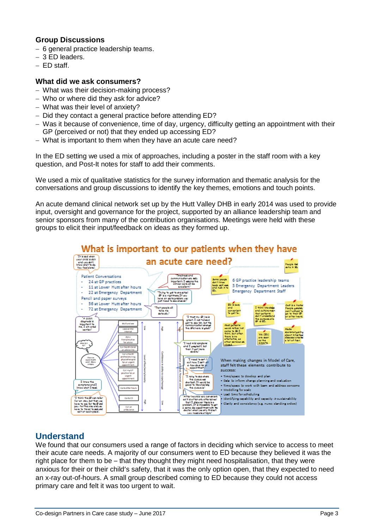### **Group Discussions**

- $-6$  general practice leadership teams.
- 3 ED leaders.
- $-$  FD staff.

#### **What did we ask consumers?**

- What was their decision-making process?
- Who or where did they ask for advice?
- What was their level of anxiety?
- Did they contact a general practice before attending ED?
- Was it because of convenience, time of day, urgency, difficulty getting an appointment with their GP (perceived or not) that they ended up accessing ED?
- What is important to them when they have an acute care need?

In the ED setting we used a mix of approaches, including a poster in the staff room with a key question, and Post-It notes for staff to add their comments.

We used a mix of qualitative statistics for the survey information and thematic analysis for the conversations and group discussions to identify the key themes, emotions and touch points.

An acute demand clinical network set up by the Hutt Valley DHB in early 2014 was used to provide input, oversight and governance for the project, supported by an alliance leadership team and senior sponsors from many of the contribution organisations. Meetings were held with these groups to elicit their input/feedback on ideas as they formed up.



# **Understand**

We found that our consumers used a range of factors in deciding which service to access to meet their acute care needs. A majority of our consumers went to ED because they believed it was the right place for them to be – that they thought they might need hospitalisation, that they were anxious for their or their child's safety, that it was the only option open, that they expected to need an x-ray out-of-hours. A small group described coming to ED because they could not access primary care and felt it was too urgent to wait.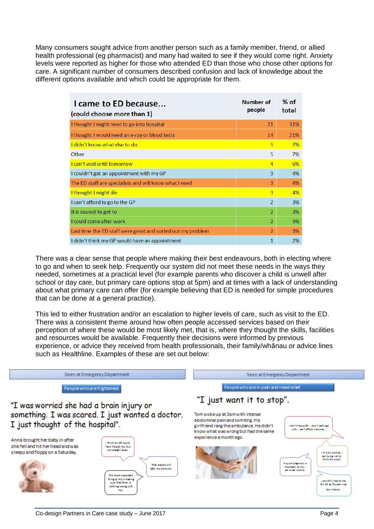Many consumers sought advice from another person such as a family member, friend, or allied health professional (eg pharmacist) and many had waited to see if they would come right. Anxiety levels were reported as higher for those who attended ED than those who chose other options for care. A significant number of consumers described confusion and lack of knowledge about the different options available and which could be appropriate for them.

| I came to ED because<br>(could choose more than 1)          | Number of<br>people | % of<br>total |
|-------------------------------------------------------------|---------------------|---------------|
| I thought I might need to go into hospital                  | 21                  | 31%           |
| I thought I would need an x-ray or blood tests              | 14                  | 21%           |
| I didn't know what else to do                               | 5                   | 7%            |
| Other                                                       | 5                   | 7%            |
| <b>Lcan't wait until tomorrow</b>                           | $\overline{4}$      | 6%            |
| I couldn't get an appointment with my GP                    | 3                   | 4%            |
| The ED staff are specialists and will know what I need      | 3                   | 4%            |
| I thought I might die                                       | 3                   | 4%            |
| I can't afford to go to the GP                              | $\overline{2}$      | 3%            |
| It is easiest to get to                                     | $\overline{2}$      | 3%            |
| I could come after work                                     | $\overline{2}$      | 3%            |
| Last time the ED staff were great and sorted out my problem | $\overline{2}$      | 3%            |
| I didn't think my GP would have an appointment              | 1                   | 2%            |

There was a clear sense that people where making their best endeavours, both in electing where to go and when to seek help. Frequently our system did not meet these needs in the ways they needed, sometimes at a practical level (for example parents who discover a child is unwell after school or day care, but primary care options stop at 5pm) and at times with a lack of understanding about what primary care can offer (for example believing that ED is needed for simple procedures that can be done at a general practice).

This led to either frustration and/or an escalation to higher levels of care, such as visit to the ED. There was a consistent theme around how often people accessed services based on their perception of where these would be most likely met, that is, where they thought the skills, facilities and resources would be available. Frequently their decisions were informed by previous experience, or advice they received from health professionals, their family/whānau or advice lines such as Healthline. Examples of these are set out below:

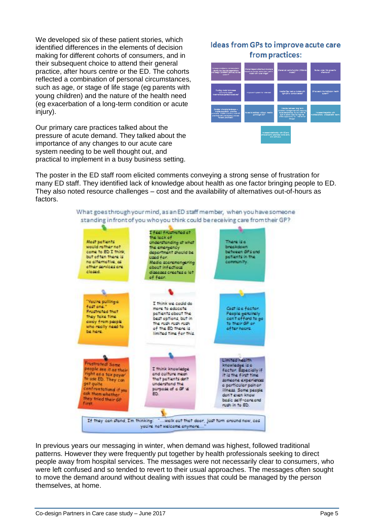We developed six of these patient stories, which identified differences in the elements of decision making for different cohorts of consumers, and in their subsequent choice to attend their general practice, after hours centre or the ED. The cohorts reflected a combination of personal circumstances, such as age, or stage of life stage (eg parents with young children) and the nature of the health need (eg exacerbation of a long-term condition or acute injury).

Our primary care practices talked about the pressure of acute demand. They talked about the importance of any changes to our acute care system needing to be well thought out, and practical to implement in a busy business setting.

# **Ideas from GPs to improve acute care** from practices:



The poster in the ED staff room elicited comments conveying a strong sense of frustration for many ED staff. They identified lack of knowledge about health as one factor bringing people to ED. They also noted resource challenges – cost and the availability of alternatives out-of-hours as factors.



In previous years our messaging in winter, when demand was highest, followed traditional patterns. However they were frequently put together by health professionals seeking to direct people away from hospital services. The messages were not necessarily clear to consumers, who were left confused and so tended to revert to their usual approaches. The messages often sought to move the demand around without dealing with issues that could be managed by the person themselves, at home.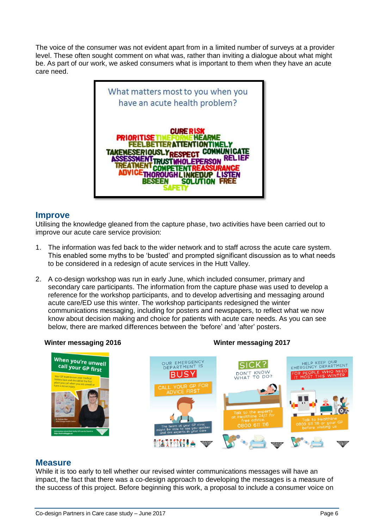The voice of the consumer was not evident apart from in a limited number of surveys at a provider level. These often sought comment on what was, rather than inviting a dialogue about what might be. As part of our work, we asked consumers what is important to them when they have an acute care need.



## **Improve**

Utilising the knowledge gleaned from the capture phase, two activities have been carried out to improve our acute care service provision:

- 1. The information was fed back to the wider network and to staff across the acute care system. This enabled some myths to be 'busted' and prompted significant discussion as to what needs to be considered in a redesign of acute services in the Hutt Valley.
- 2. A co-design workshop was run in early June, which included consumer, primary and secondary care participants. The information from the capture phase was used to develop a reference for the workshop participants, and to develop advertising and messaging around acute care/ED use this winter. The workshop participants redesigned the winter communications messaging, including for posters and newspapers, to reflect what we now know about decision making and choice for patients with acute care needs. As you can see below, there are marked differences between the 'before' and 'after' posters.

**Winter messaging 2016 Winter messaging 2017**



# **Measure**

While it is too early to tell whether our revised winter communications messages will have an impact, the fact that there was a co-design approach to developing the messages is a measure of the success of this project. Before beginning this work, a proposal to include a consumer voice on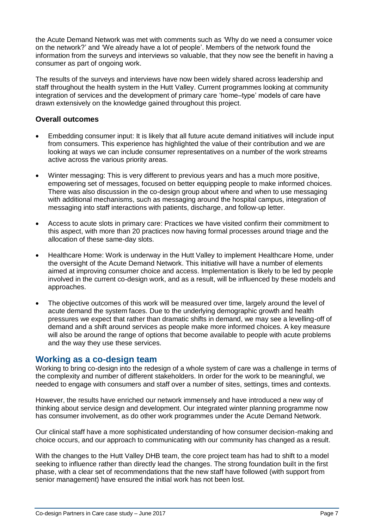the Acute Demand Network was met with comments such as 'Why do we need a consumer voice on the network?' and 'We already have a lot of people'. Members of the network found the information from the surveys and interviews so valuable, that they now see the benefit in having a consumer as part of ongoing work.

The results of the surveys and interviews have now been widely shared across leadership and staff throughout the health system in the Hutt Valley. Current programmes looking at community integration of services and the development of primary care 'home–type' models of care have drawn extensively on the knowledge gained throughout this project.

#### **Overall outcomes**

- Embedding consumer input: It is likely that all future acute demand initiatives will include input from consumers. This experience has highlighted the value of their contribution and we are looking at ways we can include consumer representatives on a number of the work streams active across the various priority areas.
- Winter messaging: This is very different to previous years and has a much more positive, empowering set of messages, focused on better equipping people to make informed choices. There was also discussion in the co-design group about where and when to use messaging with additional mechanisms, such as messaging around the hospital campus, integration of messaging into staff interactions with patients, discharge, and follow-up letter.
- Access to acute slots in primary care: Practices we have visited confirm their commitment to this aspect, with more than 20 practices now having formal processes around triage and the allocation of these same-day slots.
- Healthcare Home: Work is underway in the Hutt Valley to implement Healthcare Home, under the oversight of the Acute Demand Network. This initiative will have a number of elements aimed at improving consumer choice and access. Implementation is likely to be led by people involved in the current co-design work, and as a result, will be influenced by these models and approaches.
- The objective outcomes of this work will be measured over time, largely around the level of acute demand the system faces. Due to the underlying demographic growth and health pressures we expect that rather than dramatic shifts in demand, we may see a levelling-off of demand and a shift around services as people make more informed choices. A key measure will also be around the range of options that become available to people with acute problems and the way they use these services.

## **Working as a co-design team**

Working to bring co-design into the redesign of a whole system of care was a challenge in terms of the complexity and number of different stakeholders. In order for the work to be meaningful, we needed to engage with consumers and staff over a number of sites, settings, times and contexts.

However, the results have enriched our network immensely and have introduced a new way of thinking about service design and development. Our integrated winter planning programme now has consumer involvement, as do other work programmes under the Acute Demand Network.

Our clinical staff have a more sophisticated understanding of how consumer decision-making and choice occurs, and our approach to communicating with our community has changed as a result.

With the changes to the Hutt Valley DHB team, the core project team has had to shift to a model seeking to influence rather than directly lead the changes. The strong foundation built in the first phase, with a clear set of recommendations that the new staff have followed (with support from senior management) have ensured the initial work has not been lost.